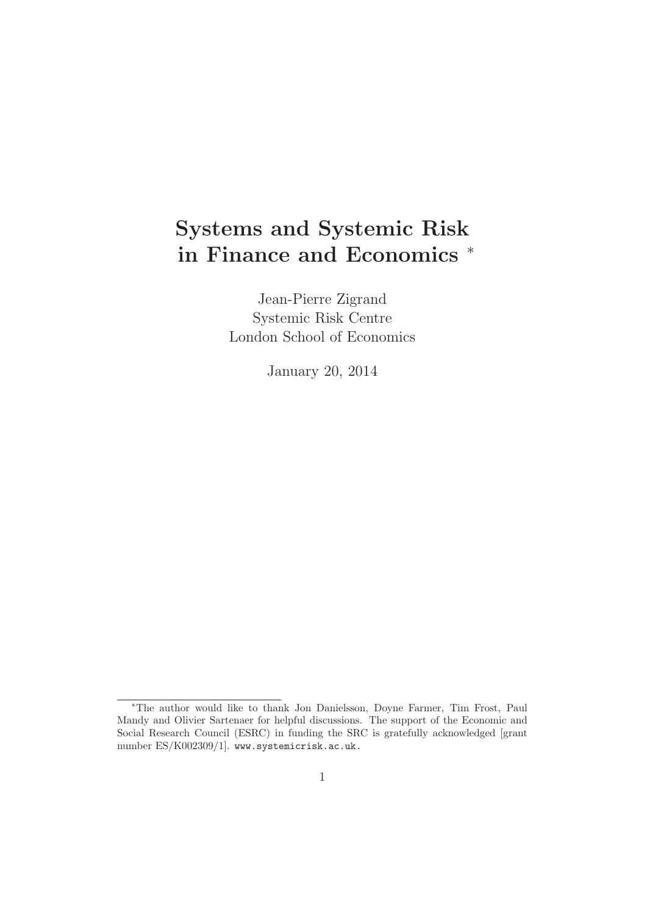## **Systems and Systemic Risk in Finance and Economics** <sup>∗</sup>

Jean-Pierre Zigrand Systemic Risk Centre London School of Economics

January 20, 2014

<sup>∗</sup>The author would like to thank Jon Danielsson, Doyne Farmer, Tim Frost, Paul Mandy and Olivier Sartenaer for helpful discussions. The support of the Economic and Social Research Council (ESRC) in funding the SRC is gratefully acknowledged [grant number ES/K002309/1]. www.systemicrisk.ac.uk.